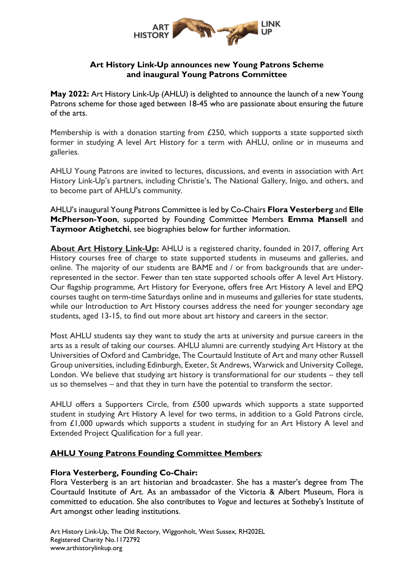

### **Art History Link-Up announces new Young Patrons Scheme and inaugural Young Patrons Committee**

**May 2022:** Art History Link-Up (AHLU) is delighted to announce the launch of a new Young Patrons scheme for those aged between 18-45 who are passionate about ensuring the future of the arts.

Membership is with a donation starting from £250, which supports a state supported sixth former in studying A level Art History for a term with AHLU, online or in museums and galleries.

AHLU Young Patrons are invited to lectures, discussions, and events in association with Art History Link-Up's partners, including Christie's, The National Gallery, Inigo, and others, and to become part of AHLU's community.

AHLU's inaugural Young Patrons Committee is led by Co-Chairs **Flora Vesterberg** and **Elle McPherson-Yoon**, supported by Founding Committee Members **Emma Mansell** and **Taymoor Atighetchi**, see biographies below for further information.

**About Art History Link-Up:** AHLU is a registered charity, founded in 2017, offering Art History courses free of charge to state supported students in museums and galleries, and online. The majority of our students are BAME and / or from backgrounds that are underrepresented in the sector. Fewer than ten state supported schools offer A level Art History. Our flagship programme, Art History for Everyone, offers free Art History A level and EPQ courses taught on term-time Saturdays online and in museums and galleries for state students, while our Introduction to Art History courses address the need for younger secondary age students, aged 13-15, to find out more about art history and careers in the sector.

Most AHLU students say they want to study the arts at university and pursue careers in the arts as a result of taking our courses. AHLU alumni are currently studying Art History at the Universities of Oxford and Cambridge, The Courtauld Institute of Art and many other Russell Group universities, including Edinburgh, Exeter, St Andrews, Warwick and University College, London. We believe that studying art history is transformational for our students – they tell us so themselves – and that they in turn have the potential to transform the sector.

AHLU offers a Supporters Circle, from £500 upwards which supports a state supported student in studying Art History A level for two terms, in addition to a Gold Patrons circle, from £1,000 upwards which supports a student in studying for an Art History A level and Extended Project Qualification for a full year.

## **AHLU Young Patrons Founding Committee Members***:*

## **Flora Vesterberg, Founding Co-Chair:**

Flora Vesterberg is an art historian and broadcaster. She has a master's degree from The Courtauld Institute of Art. As an ambassador of the Victoria & Albert Museum, Flora is committed to education. She also contributes to *Vogue* and lectures at Sotheby's Institute of Art amongst other leading institutions.